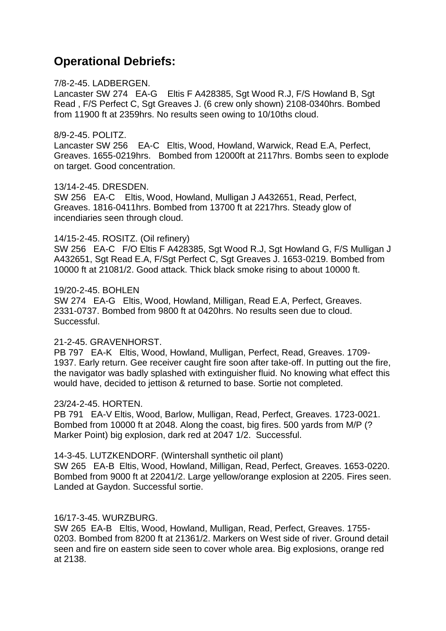# **Operational Debriefs:**

#### 7/8-2-45. LADBERGEN.

Lancaster SW 274 EA-G Eltis F A428385, Sgt Wood R.J, F/S Howland B, Sgt Read , F/S Perfect C, Sgt Greaves J. (6 crew only shown) 2108-0340hrs. Bombed from 11900 ft at 2359hrs. No results seen owing to 10/10ths cloud.

#### 8/9-2-45. POLITZ.

Lancaster SW 256 EA-C Eltis, Wood, Howland, Warwick, Read E.A, Perfect, Greaves. 1655-0219hrs. Bombed from 12000ft at 2117hrs. Bombs seen to explode on target. Good concentration.

## 13/14-2-45. DRESDEN.

SW 256 EA-C Eltis, Wood, Howland, Mulligan J A432651, Read, Perfect, Greaves. 1816-0411hrs. Bombed from 13700 ft at 2217hrs. Steady glow of incendiaries seen through cloud.

## 14/15-2-45. ROSITZ. (Oil refinery)

SW 256 EA-C F/O Eltis F A428385, Sgt Wood R.J, Sgt Howland G, F/S Mulligan J A432651, Sgt Read E.A, F/Sgt Perfect C, Sgt Greaves J. 1653-0219. Bombed from 10000 ft at 21081/2. Good attack. Thick black smoke rising to about 10000 ft.

#### 19/20-2-45. BOHLEN

SW 274 EA-G Eltis, Wood, Howland, Milligan, Read E.A, Perfect, Greaves. 2331-0737. Bombed from 9800 ft at 0420hrs. No results seen due to cloud. Successful.

# 21-2-45. GRAVENHORST.

PB 797 EA-K Eltis, Wood, Howland, Mulligan, Perfect, Read, Greaves. 1709- 1937. Early return. Gee receiver caught fire soon after take-off. In putting out the fire, the navigator was badly splashed with extinguisher fluid. No knowing what effect this would have, decided to jettison & returned to base. Sortie not completed.

# 23/24-2-45. HORTEN.

PB 791 EA-V Eltis, Wood, Barlow, Mulligan, Read, Perfect, Greaves. 1723-0021. Bombed from 10000 ft at 2048. Along the coast, big fires. 500 yards from M/P (? Marker Point) big explosion, dark red at 2047 1/2. Successful.

#### 14-3-45. LUTZKENDORF. (Wintershall synthetic oil plant)

SW 265 EA-B Eltis, Wood, Howland, Milligan, Read, Perfect, Greaves. 1653-0220. Bombed from 9000 ft at 22041/2. Large yellow/orange explosion at 2205. Fires seen. Landed at Gaydon. Successful sortie.

# 16/17-3-45. WURZBURG.

SW 265 EA-B Eltis, Wood, Howland, Mulligan, Read, Perfect, Greaves. 1755- 0203. Bombed from 8200 ft at 21361/2. Markers on West side of river. Ground detail seen and fire on eastern side seen to cover whole area. Big explosions, orange red at 2138.